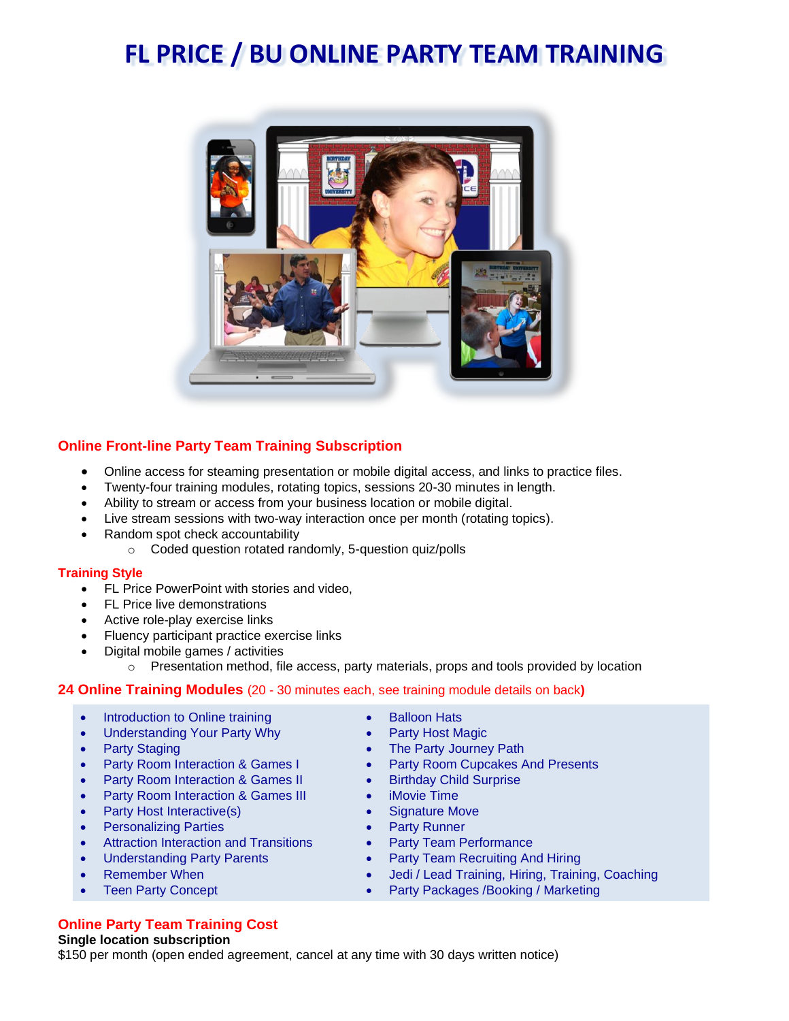# **FL PRICE / BU ONLINE PARTY TEAM TRAINING**



# **Online Front-line Party Team Training Subscription**

- Online access for steaming presentation or mobile digital access, and links to practice files.
- Twenty-four training modules, rotating topics, sessions 20-30 minutes in length.
- Ability to stream or access from your business location or mobile digital.
- Live stream sessions with two-way interaction once per month (rotating topics).
- Random spot check accountability
	- o Coded question rotated randomly, 5-question quiz/polls

## **Training Style**

- FL Price PowerPoint with stories and video,
- FL Price live demonstrations
- Active role-play exercise links
- Fluency participant practice exercise links
- Digital mobile games / activities
	- $\circ$  Presentation method, file access, party materials, props and tools provided by location

## **24 Online Training Modules** (20 - 30 minutes each, see training module details on back**)**

- Introduction to Online training
- Understanding Your Party Why
- Party Staging
- Party Room Interaction & Games I
- Party Room Interaction & Games II
- Party Room Interaction & Games III
- Party Host Interactive(s)
- Personalizing Parties
- Attraction Interaction and Transitions
- Understanding Party Parents
- Remember When
- **Teen Party Concept**

## **Online Party Team Training Cost**

### **Single location subscription**

\$150 per month (open ended agreement, cancel at any time with 30 days written notice)

- **Balloon Hats**
- Party Host Magic
- The Party Journey Path
- Party Room Cupcakes And Presents
- Birthday Child Surprise
- iMovie Time
- 
- 
- Party Team Performance
- Jedi / Lead Training, Hiring, Training, Coaching
- Party Packages /Booking / Marketing
- 
- 
- 
- 
- 
- Signature Move
- Party Runner
- 
- Party Team Recruiting And Hiring
-